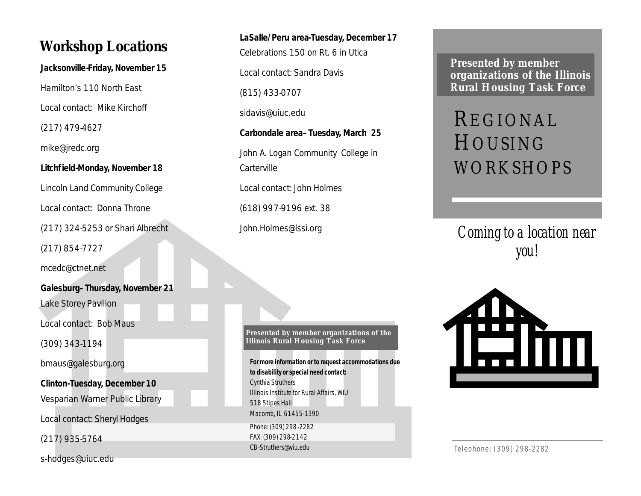## **Workshop Locations**

**Jacksonville-Friday, November 15** 

Hamilton's 110 North East

Local contact: Mike Kirchoff

(217) 479-4627

mike@jredc.org

**Litchfield-Monday, November 18** 

Lincoln Land Community College Local contact: Donna Throne (217) 324-5253 or Shari Albrecht

(217) 854-7727

mcedc@ctnet.net

**Galesburg–Thursday, November 21**  Lake Storey Pavilion

Local contact: Bob Maus

(309) 343-1194

bmaus@galesburg.org

**Clinton-Tuesday, December 10**  Vesparian Warner Public Library

Local contact: Sheryl Hodges

(217) 935-5764

s-hodges@uiuc.edu

**LaSalle/Peru area-Tuesday, December 17**  Celebrations 150 on Rt. 6 in Utica Local contact: Sandra Davis (815) 433-0707 sidavis@uiuc.edu **Carbondale area–Tuesday, March 25**  John A. Logan Community College in **Carterville** 

Local contact: John Holmes

(618) 997-9196 ext. 38

John.Holmes@lssi.org

**Presented by member organizations of the Illinois Rural Housing Task Force**

**For more information or to request accommodations due to disability or special need contact:** Cynthia Struthers Illinois Institute for Rural Affairs, WIU 518 Stipes Hall Macomb, IL 61455-1390 Phone: (309) 298-2282 FAX: (309) 298-2142 CB-Struthers@wiu.edu

**Presented by member organizations of the Illinois Rural Housing Task Force**

# REGIONAL HOUSING WORKSHOPS

*Coming to a location near you!*



Telephone: (309) 298-2282